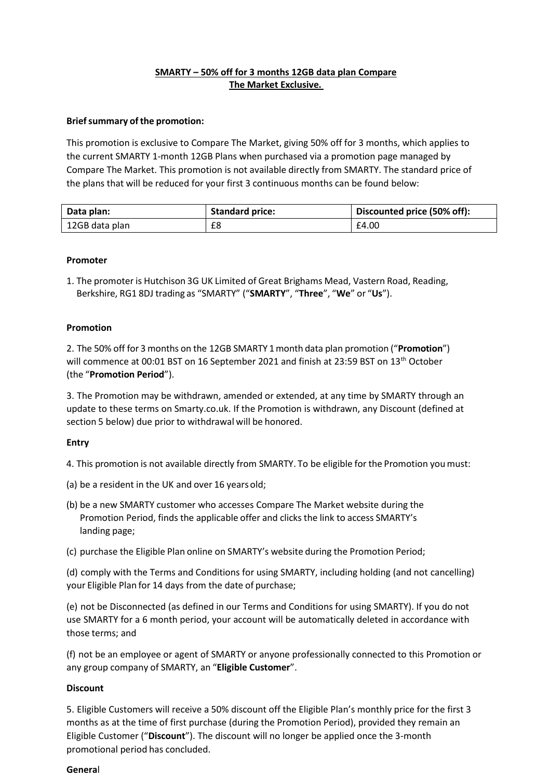# **SMARTY – 50% off for 3 months 12GB data plan Compare The Market Exclusive.**

## **Brief summary of the promotion:**

This promotion is exclusive to Compare The Market, giving 50% off for 3 months, which applies to the current SMARTY 1-month 12GB Plans when purchased via a promotion page managed by Compare The Market. This promotion is not available directly from SMARTY. The standard price of the plans that will be reduced for your first 3 continuous months can be found below:

| Data plan:     | <b>Standard price:</b> | Discounted price (50% off): |
|----------------|------------------------|-----------------------------|
| 12GB data plan | £8                     | £4.00                       |

#### **Promoter**

1. The promoter is Hutchison 3G UK Limited of Great Brighams Mead, Vastern Road, Reading, Berkshire, RG1 8DJ trading as "SMARTY" ("**SMARTY**", "**Three**", "**We**" or "**Us**").

### **Promotion**

2. The 50% off for 3 months on the 12GB SMARTY 1month data plan promotion ("**Promotion**") will commence at 00:01 BST on 16 September 2021 and finish at 23:59 BST on  $13<sup>th</sup>$  October (the "**Promotion Period**").

3. The Promotion may be withdrawn, amended or extended, at any time by SMARTY through an update to these terms on Smarty.co.uk. If the Promotion is withdrawn, any Discount (defined at section 5 below) due prior to withdrawal will be honored.

### **Entry**

4. This promotion is not available directly from SMARTY. To be eligible for the Promotion youmust:

- (a) be a resident in the UK and over 16 yearsold;
- (b) be a new SMARTY customer who accesses Compare The Market website during the Promotion Period, finds the applicable offer and clicks the link to access SMARTY's landing page;
- (c) purchase the Eligible Plan online on SMARTY's website during the Promotion Period;

(d) comply with the Terms and Conditions for using SMARTY, including holding (and not cancelling) your Eligible Plan for 14 days from the date of purchase;

(e) not be Disconnected (as defined in our Terms and Conditions for using SMARTY). If you do not use SMARTY for a 6 month period, your account will be automatically deleted in accordance with those terms; and

(f) not be an employee or agent of SMARTY or anyone professionally connected to this Promotion or any group company of SMARTY, an "**Eligible Customer**".

### **Discount**

5. Eligible Customers will receive a 50% discount off the Eligible Plan's monthly price for the first 3 months as at the time of first purchase (during the Promotion Period), provided they remain an Eligible Customer ("**Discount**"). The discount will no longer be applied once the 3-month promotional period has concluded.

#### **Genera**l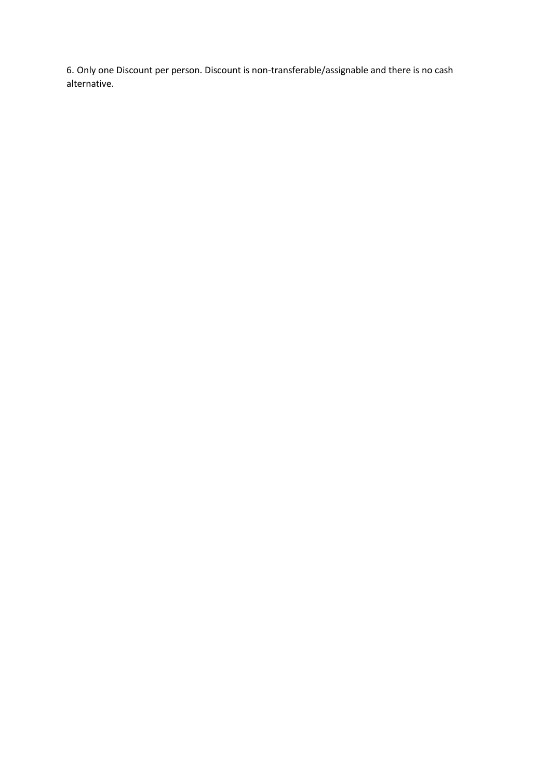6. Only one Discount per person. Discount is non-transferable/assignable and there is no cash alternative.